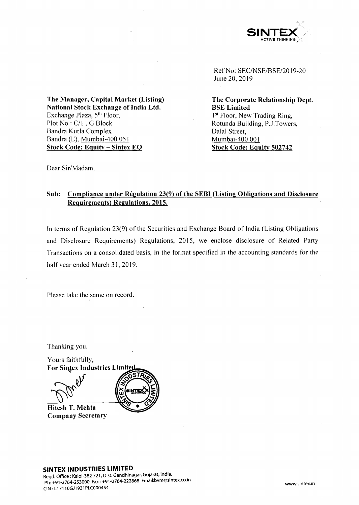

Ref No: SEC/NSE/BSE/2019-20 June 20, 2019

**The Corporate Relationship Dept. BSE Limited** 1<sup>st</sup> Floor, New Trading Ring, Rotunda Building, P.J.Towers, Dalal Street, Mumbai-400 001 **Stock Code: Equity 502742**

**The Manager, Capital Market (Listing) National Stock Exchange of India Ltd.** Exchange Plaza, 5<sup>th</sup> Floor, Plot No : C/l , G Block Bandra Kurla Complex Bandra (E), Mumbai-400 051 **Stock Code: Equity - Sintex EO**

Dear Sir/Madam,

## **Sub: Compliance under Regulation 23(9) of the SEBI (Listing Obligations and Disclosure Requirements) Regulations. 2015.**

In terms of Regulation 23(9) of the Securities and Exchange Board of India (Listing Obligations and Disclosure Requirements) Regulations, 2015, we enclose disclosure of Related Party Transactions on a consolidated basis, in the format specified in the accounting standards for the half year ended March 31, 2019.

Please take the same on record.

Thanking you.

Yours faithfully, **For Sintex Industries Limited** 

**Hitesh T. Mehta Company Secretary**



# **SINTEX INDUSTRIES LIMITED**